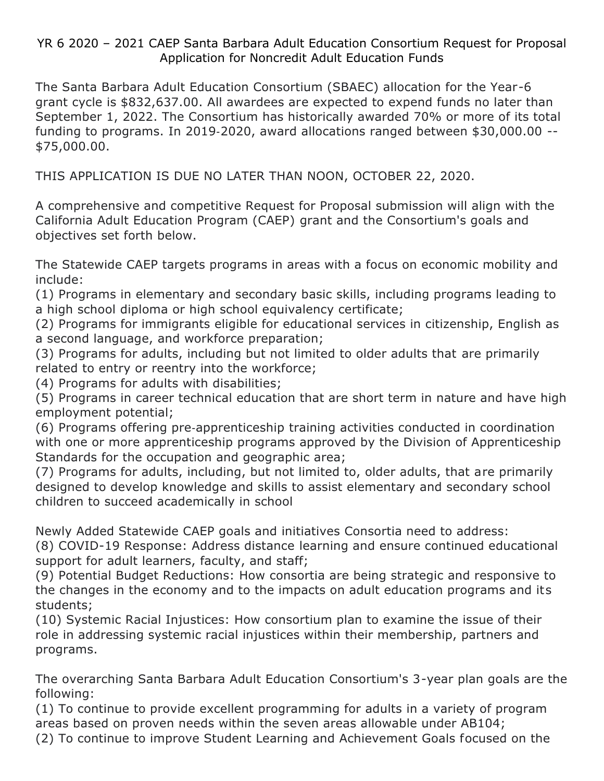# YR 6 2020 – 2021 CAEP Santa Barbara Adult Education Consortium Request for Proposal Application for Noncredit Adult Education Funds

The Santa Barbara Adult Education Consortium (SBAEC) allocation for the Year-6 grant cycle is \$832,637.00. All awardees are expected to expend funds no later than September 1, 2022. The Consortium has historically awarded 70% or more of its total funding to programs. In 2019‐2020, award allocations ranged between \$30,000.00 -- \$75,000.00.

THIS APPLICATION IS DUE NO LATER THAN NOON, OCTOBER 22, 2020.

A comprehensive and competitive Request for Proposal submission will align with the California Adult Education Program (CAEP) grant and the Consortium's goals and objectives set forth below.

The Statewide CAEP targets programs in areas with a focus on economic mobility and include:

(1) Programs in elementary and secondary basic skills, including programs leading to a high school diploma or high school equivalency certificate;

(2) Programs for immigrants eligible for educational services in citizenship, English as a second language, and workforce preparation;

(3) Programs for adults, including but not limited to older adults that are primarily related to entry or reentry into the workforce;

(4) Programs for adults with disabilities;

(5) Programs in career technical education that are short term in nature and have high employment potential;

(6) Programs offering pre‐apprenticeship training activities conducted in coordination with one or more apprenticeship programs approved by the Division of Apprenticeship Standards for the occupation and geographic area;

(7) Programs for adults, including, but not limited to, older adults, that are primarily designed to develop knowledge and skills to assist elementary and secondary school children to succeed academically in school

Newly Added Statewide CAEP goals and initiatives Consortia need to address:

(8) COVID-19 Response: Address distance learning and ensure continued educational support for adult learners, faculty, and staff;

(9) Potential Budget Reductions: How consortia are being strategic and responsive to the changes in the economy and to the impacts on adult education programs and its students;

(10) Systemic Racial Injustices: How consortium plan to examine the issue of their role in addressing systemic racial injustices within their membership, partners and programs.

The overarching Santa Barbara Adult Education Consortium's 3-year plan goals are the following:

(1) To continue to provide excellent programming for adults in a variety of program areas based on proven needs within the seven areas allowable under AB104;

(2) To continue to improve Student Learning and Achievement Goals focused on the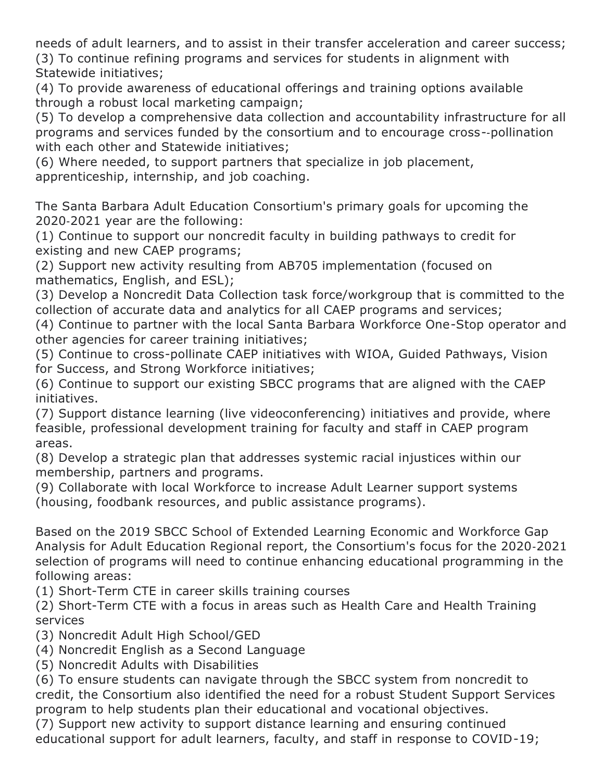needs of adult learners, and to assist in their transfer acceleration and career success; (3) To continue refining programs and services for students in alignment with Statewide initiatives;

(4) To provide awareness of educational offerings and training options available through a robust local marketing campaign;

(5) To develop a comprehensive data collection and accountability infrastructure for all programs and services funded by the consortium and to encourage cross-‐pollination with each other and Statewide initiatives;

(6) Where needed, to support partners that specialize in job placement, apprenticeship, internship, and job coaching.

The Santa Barbara Adult Education Consortium's primary goals for upcoming the 2020‐2021 year are the following:

(1) Continue to support our noncredit faculty in building pathways to credit for existing and new CAEP programs;

(2) Support new activity resulting from AB705 implementation (focused on mathematics, English, and ESL);

(3) Develop a Noncredit Data Collection task force/workgroup that is committed to the collection of accurate data and analytics for all CAEP programs and services;

(4) Continue to partner with the local Santa Barbara Workforce One-Stop operator and other agencies for career training initiatives;

(5) Continue to cross-pollinate CAEP initiatives with WIOA, Guided Pathways, Vision for Success, and Strong Workforce initiatives;

(6) Continue to support our existing SBCC programs that are aligned with the CAEP initiatives.

(7) Support distance learning (live videoconferencing) initiatives and provide, where feasible, professional development training for faculty and staff in CAEP program areas.

(8) Develop a strategic plan that addresses systemic racial injustices within our membership, partners and programs.

(9) Collaborate with local Workforce to increase Adult Learner support systems (housing, foodbank resources, and public assistance programs).

Based on the 2019 SBCC School of Extended Learning Economic and Workforce Gap Analysis for Adult Education Regional report, the Consortium's focus for the 2020‐2021 selection of programs will need to continue enhancing educational programming in the following areas:

(1) Short-Term CTE in career skills training courses

(2) Short-Term CTE with a focus in areas such as Health Care and Health Training services

(3) Noncredit Adult High School/GED

(4) Noncredit English as a Second Language

(5) Noncredit Adults with Disabilities

(6) To ensure students can navigate through the SBCC system from noncredit to credit, the Consortium also identified the need for a robust Student Support Services program to help students plan their educational and vocational objectives.

(7) Support new activity to support distance learning and ensuring continued educational support for adult learners, faculty, and staff in response to COVID-19;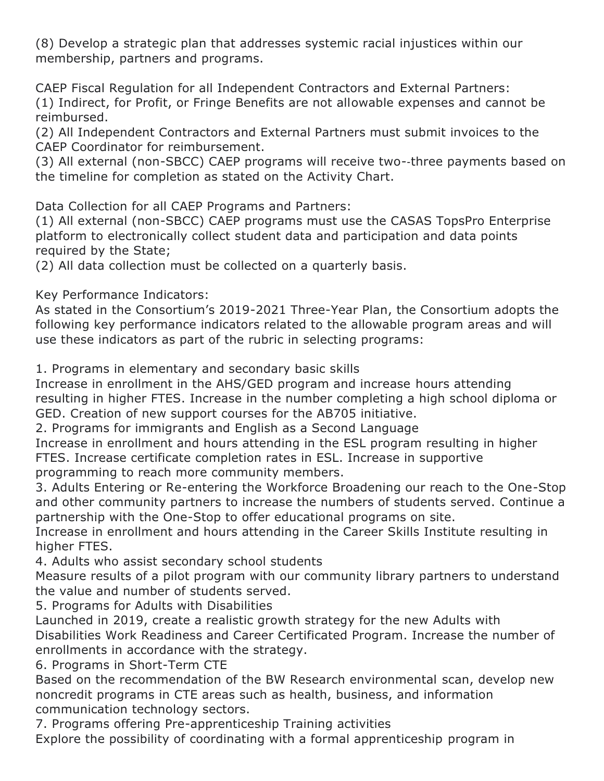(8) Develop a strategic plan that addresses systemic racial injustices within our membership, partners and programs.

CAEP Fiscal Regulation for all Independent Contractors and External Partners: (1) Indirect, for Profit, or Fringe Benefits are not allowable expenses and cannot be reimbursed.

(2) All Independent Contractors and External Partners must submit invoices to the CAEP Coordinator for reimbursement.

(3) All external (non-SBCC) CAEP programs will receive two-‐three payments based on the timeline for completion as stated on the Activity Chart.

Data Collection for all CAEP Programs and Partners:

(1) All external (non-SBCC) CAEP programs must use the CASAS TopsPro Enterprise platform to electronically collect student data and participation and data points required by the State;

(2) All data collection must be collected on a quarterly basis.

Key Performance Indicators:

As stated in the Consortium's 2019-2021 Three-Year Plan, the Consortium adopts the following key performance indicators related to the allowable program areas and will use these indicators as part of the rubric in selecting programs:

1. Programs in elementary and secondary basic skills

Increase in enrollment in the AHS/GED program and increase hours attending resulting in higher FTES. Increase in the number completing a high school diploma or GED. Creation of new support courses for the AB705 initiative.

2. Programs for immigrants and English as a Second Language

Increase in enrollment and hours attending in the ESL program resulting in higher FTES. Increase certificate completion rates in ESL. Increase in supportive programming to reach more community members.

3. Adults Entering or Re-entering the Workforce Broadening our reach to the One-Stop and other community partners to increase the numbers of students served. Continue a partnership with the One-Stop to offer educational programs on site.

Increase in enrollment and hours attending in the Career Skills Institute resulting in higher FTES.

4. Adults who assist secondary school students

Measure results of a pilot program with our community library partners to understand the value and number of students served.

5. Programs for Adults with Disabilities

Launched in 2019, create a realistic growth strategy for the new Adults with Disabilities Work Readiness and Career Certificated Program. Increase the number of enrollments in accordance with the strategy.

6. Programs in Short-Term CTE

Based on the recommendation of the BW Research environmental scan, develop new noncredit programs in CTE areas such as health, business, and information communication technology sectors.

7. Programs offering Pre-apprenticeship Training activities

Explore the possibility of coordinating with a formal apprenticeship program in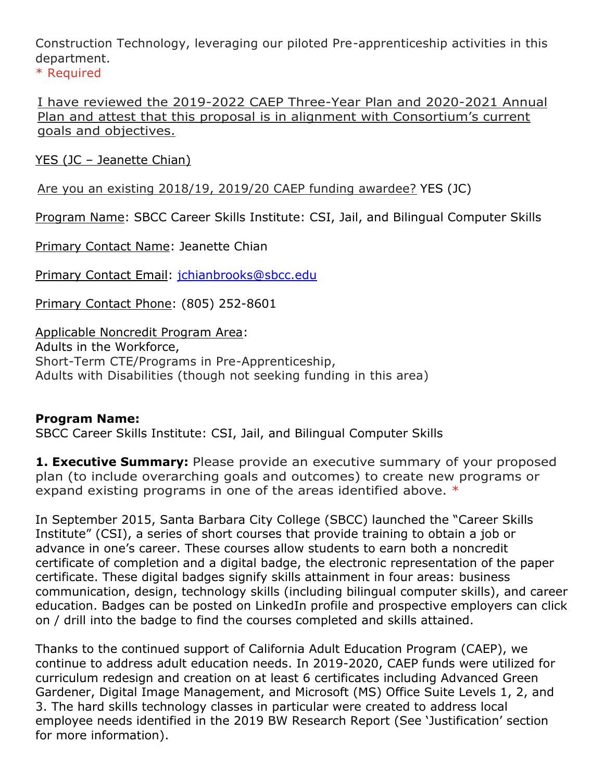Construction Technology, leveraging our piloted Pre-apprenticeship activities in this department.

\* Required

I have reviewed the 2019-2022 CAEP Three-Year Plan and 2020-2021 Annual Plan and attest that this proposal is in alignment with Consortium's current goals and objectives.

YES (JC – Jeanette Chian)

Are you an existing 2018/19, 2019/20 CAEP funding awardee? YES (JC)

Program Name: SBCC Career Skills Institute: CSI, Jail, and Bilingual Computer Skills

Primary Contact Name: Jeanette Chian

Primary Contact Email: [jchianbrooks@sbcc.edu](mailto:jchianbrooks@sbcc.edu)

Primary Contact Phone: (805) 252-8601

Applicable Noncredit Program Area: Adults in the Workforce, Short-Term CTE/Programs in Pre-Apprenticeship, Adults with Disabilities (though not seeking funding in this area)

# **Program Name:**

SBCC Career Skills Institute: CSI, Jail, and Bilingual Computer Skills

**1. Executive Summary:** Please provide an executive summary of your proposed plan (to include overarching goals and outcomes) to create new programs or expand existing programs in one of the areas identified above. \*

In September 2015, Santa Barbara City College (SBCC) launched the "Career Skills Institute" (CSI), a series of short courses that provide training to obtain a job or advance in one's career. These courses allow students to earn both a noncredit certificate of completion and a digital badge, the electronic representation of the paper certificate. These digital badges signify skills attainment in four areas: business communication, design, technology skills (including bilingual computer skills), and career education. Badges can be posted on LinkedIn profile and prospective employers can click on / drill into the badge to find the courses completed and skills attained.

Thanks to the continued support of California Adult Education Program (CAEP), we continue to address adult education needs. In 2019-2020, CAEP funds were utilized for curriculum redesign and creation on at least 6 certificates including Advanced Green Gardener, Digital Image Management, and Microsoft (MS) Office Suite Levels 1, 2, and 3. The hard skills technology classes in particular were created to address local employee needs identified in the 2019 BW Research Report (See 'Justification' section for more information).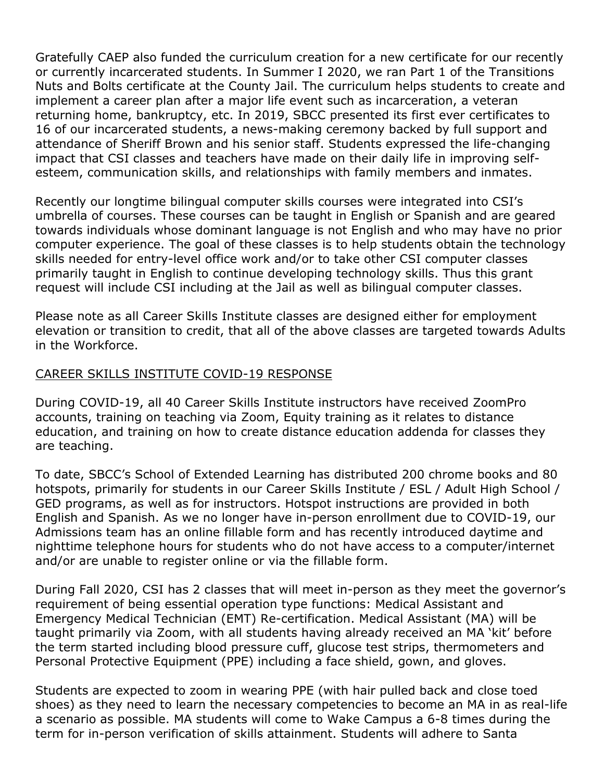Gratefully CAEP also funded the curriculum creation for a new certificate for our recently or currently incarcerated students. In Summer I 2020, we ran Part 1 of the Transitions Nuts and Bolts certificate at the County Jail. The curriculum helps students to create and implement a career plan after a major life event such as incarceration, a veteran returning home, bankruptcy, etc. In 2019, SBCC presented its first ever certificates to 16 of our incarcerated students, a news-making ceremony backed by full support and attendance of Sheriff Brown and his senior staff. Students expressed the life-changing impact that CSI classes and teachers have made on their daily life in improving selfesteem, communication skills, and relationships with family members and inmates.

Recently our longtime bilingual computer skills courses were integrated into CSI's umbrella of courses. These courses can be taught in English or Spanish and are geared towards individuals whose dominant language is not English and who may have no prior computer experience. The goal of these classes is to help students obtain the technology skills needed for entry-level office work and/or to take other CSI computer classes primarily taught in English to continue developing technology skills. Thus this grant request will include CSI including at the Jail as well as bilingual computer classes.

Please note as all Career Skills Institute classes are designed either for employment elevation or transition to credit, that all of the above classes are targeted towards Adults in the Workforce.

## CAREER SKILLS INSTITUTE COVID-19 RESPONSE

During COVID-19, all 40 Career Skills Institute instructors have received ZoomPro accounts, training on teaching via Zoom, Equity training as it relates to distance education, and training on how to create distance education addenda for classes they are teaching.

To date, SBCC's School of Extended Learning has distributed 200 chrome books and 80 hotspots, primarily for students in our Career Skills Institute / ESL / Adult High School / GED programs, as well as for instructors. Hotspot instructions are provided in both English and Spanish. As we no longer have in-person enrollment due to COVID-19, our Admissions team has an online fillable form and has recently introduced daytime and nighttime telephone hours for students who do not have access to a computer/internet and/or are unable to register online or via the fillable form.

During Fall 2020, CSI has 2 classes that will meet in-person as they meet the governor's requirement of being essential operation type functions: Medical Assistant and Emergency Medical Technician (EMT) Re-certification. Medical Assistant (MA) will be taught primarily via Zoom, with all students having already received an MA 'kit' before the term started including blood pressure cuff, glucose test strips, thermometers and Personal Protective Equipment (PPE) including a face shield, gown, and gloves.

Students are expected to zoom in wearing PPE (with hair pulled back and close toed shoes) as they need to learn the necessary competencies to become an MA in as real-life a scenario as possible. MA students will come to Wake Campus a 6-8 times during the term for in-person verification of skills attainment. Students will adhere to Santa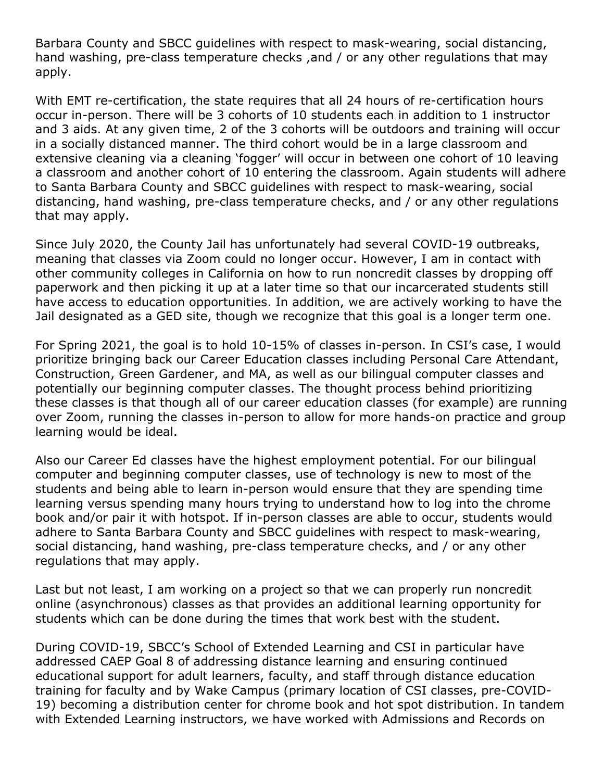Barbara County and SBCC guidelines with respect to mask-wearing, social distancing, hand washing, pre-class temperature checks ,and / or any other regulations that may apply.

With EMT re-certification, the state requires that all 24 hours of re-certification hours occur in-person. There will be 3 cohorts of 10 students each in addition to 1 instructor and 3 aids. At any given time, 2 of the 3 cohorts will be outdoors and training will occur in a socially distanced manner. The third cohort would be in a large classroom and extensive cleaning via a cleaning 'fogger' will occur in between one cohort of 10 leaving a classroom and another cohort of 10 entering the classroom. Again students will adhere to Santa Barbara County and SBCC guidelines with respect to mask-wearing, social distancing, hand washing, pre-class temperature checks, and / or any other regulations that may apply.

Since July 2020, the County Jail has unfortunately had several COVID-19 outbreaks, meaning that classes via Zoom could no longer occur. However, I am in contact with other community colleges in California on how to run noncredit classes by dropping off paperwork and then picking it up at a later time so that our incarcerated students still have access to education opportunities. In addition, we are actively working to have the Jail designated as a GED site, though we recognize that this goal is a longer term one.

For Spring 2021, the goal is to hold 10-15% of classes in-person. In CSI's case, I would prioritize bringing back our Career Education classes including Personal Care Attendant, Construction, Green Gardener, and MA, as well as our bilingual computer classes and potentially our beginning computer classes. The thought process behind prioritizing these classes is that though all of our career education classes (for example) are running over Zoom, running the classes in-person to allow for more hands-on practice and group learning would be ideal.

Also our Career Ed classes have the highest employment potential. For our bilingual computer and beginning computer classes, use of technology is new to most of the students and being able to learn in-person would ensure that they are spending time learning versus spending many hours trying to understand how to log into the chrome book and/or pair it with hotspot. If in-person classes are able to occur, students would adhere to Santa Barbara County and SBCC guidelines with respect to mask-wearing, social distancing, hand washing, pre-class temperature checks, and / or any other regulations that may apply.

Last but not least, I am working on a project so that we can properly run noncredit online (asynchronous) classes as that provides an additional learning opportunity for students which can be done during the times that work best with the student.

During COVID-19, SBCC's School of Extended Learning and CSI in particular have addressed CAEP Goal 8 of addressing distance learning and ensuring continued educational support for adult learners, faculty, and staff through distance education training for faculty and by Wake Campus (primary location of CSI classes, pre-COVID-19) becoming a distribution center for chrome book and hot spot distribution. In tandem with Extended Learning instructors, we have worked with Admissions and Records on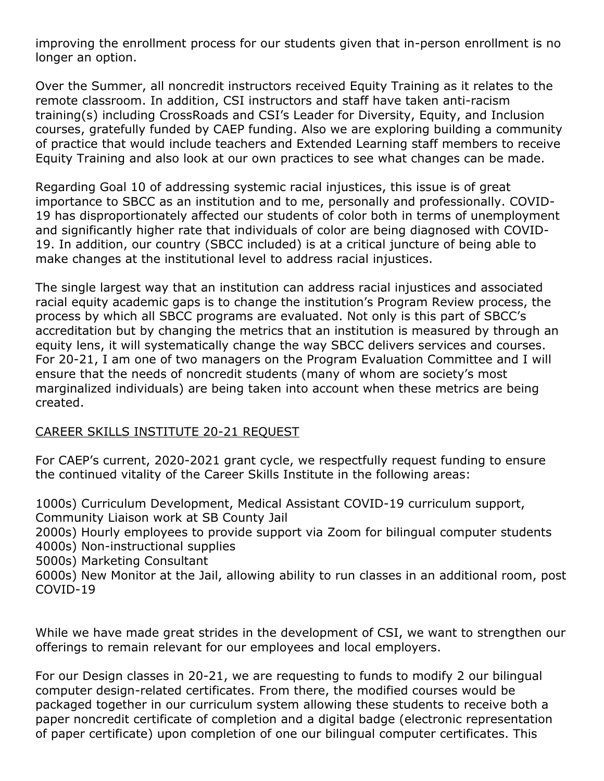improving the enrollment process for our students given that in-person enrollment is no longer an option.

Over the Summer, all noncredit instructors received Equity Training as it relates to the remote classroom. In addition, CSI instructors and staff have taken anti-racism training(s) including CrossRoads and CSI's Leader for Diversity, Equity, and Inclusion courses, gratefully funded by CAEP funding. Also we are exploring building a community of practice that would include teachers and Extended Learning staff members to receive Equity Training and also look at our own practices to see what changes can be made.

Regarding Goal 10 of addressing systemic racial injustices, this issue is of great importance to SBCC as an institution and to me, personally and professionally. COVID-19 has disproportionately affected our students of color both in terms of unemployment and significantly higher rate that individuals of color are being diagnosed with COVID-19. In addition, our country (SBCC included) is at a critical juncture of being able to make changes at the institutional level to address racial injustices.

The single largest way that an institution can address racial injustices and associated racial equity academic gaps is to change the institution's Program Review process, the process by which all SBCC programs are evaluated. Not only is this part of SBCC's accreditation but by changing the metrics that an institution is measured by through an equity lens, it will systematically change the way SBCC delivers services and courses. For 20-21, I am one of two managers on the Program Evaluation Committee and I will ensure that the needs of noncredit students (many of whom are society's most marginalized individuals) are being taken into account when these metrics are being created.

#### CAREER SKILLS INSTITUTE 20-21 REQUEST

For CAEP's current, 2020-2021 grant cycle, we respectfully request funding to ensure the continued vitality of the Career Skills Institute in the following areas:

1000s) Curriculum Development, Medical Assistant COVID-19 curriculum support, Community Liaison work at SB County Jail

2000s) Hourly employees to provide support via Zoom for bilingual computer students 4000s) Non-instructional supplies

5000s) Marketing Consultant

6000s) New Monitor at the Jail, allowing ability to run classes in an additional room, post COVID-19

While we have made great strides in the development of CSI, we want to strengthen our offerings to remain relevant for our employees and local employers.

For our Design classes in 20-21, we are requesting to funds to modify 2 our bilingual computer design-related certificates. From there, the modified courses would be packaged together in our curriculum system allowing these students to receive both a paper noncredit certificate of completion and a digital badge (electronic representation of paper certificate) upon completion of one our bilingual computer certificates. This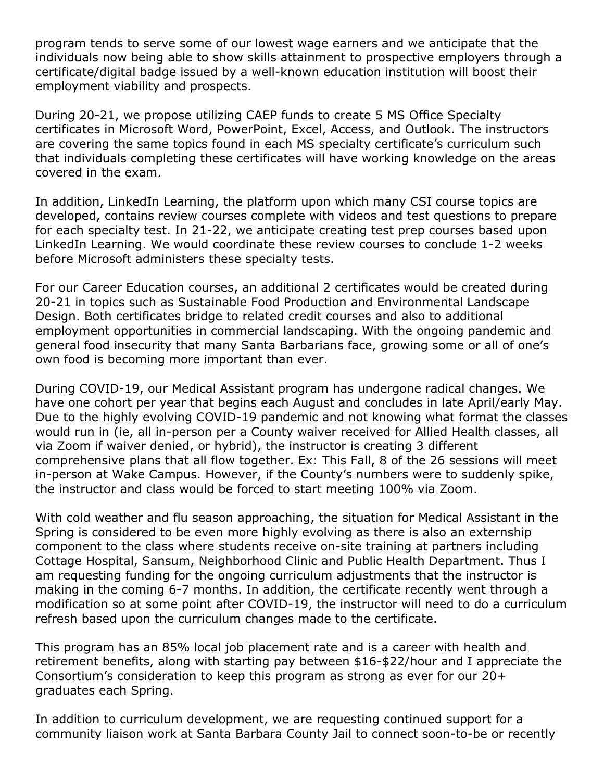program tends to serve some of our lowest wage earners and we anticipate that the individuals now being able to show skills attainment to prospective employers through a certificate/digital badge issued by a well-known education institution will boost their employment viability and prospects.

During 20-21, we propose utilizing CAEP funds to create 5 MS Office Specialty certificates in Microsoft Word, PowerPoint, Excel, Access, and Outlook. The instructors are covering the same topics found in each MS specialty certificate's curriculum such that individuals completing these certificates will have working knowledge on the areas covered in the exam.

In addition, LinkedIn Learning, the platform upon which many CSI course topics are developed, contains review courses complete with videos and test questions to prepare for each specialty test. In 21-22, we anticipate creating test prep courses based upon LinkedIn Learning. We would coordinate these review courses to conclude 1-2 weeks before Microsoft administers these specialty tests.

For our Career Education courses, an additional 2 certificates would be created during 20-21 in topics such as Sustainable Food Production and Environmental Landscape Design. Both certificates bridge to related credit courses and also to additional employment opportunities in commercial landscaping. With the ongoing pandemic and general food insecurity that many Santa Barbarians face, growing some or all of one's own food is becoming more important than ever.

During COVID-19, our Medical Assistant program has undergone radical changes. We have one cohort per year that begins each August and concludes in late April/early May. Due to the highly evolving COVID-19 pandemic and not knowing what format the classes would run in (ie, all in-person per a County waiver received for Allied Health classes, all via Zoom if waiver denied, or hybrid), the instructor is creating 3 different comprehensive plans that all flow together. Ex: This Fall, 8 of the 26 sessions will meet in-person at Wake Campus. However, if the County's numbers were to suddenly spike, the instructor and class would be forced to start meeting 100% via Zoom.

With cold weather and flu season approaching, the situation for Medical Assistant in the Spring is considered to be even more highly evolving as there is also an externship component to the class where students receive on-site training at partners including Cottage Hospital, Sansum, Neighborhood Clinic and Public Health Department. Thus I am requesting funding for the ongoing curriculum adjustments that the instructor is making in the coming 6-7 months. In addition, the certificate recently went through a modification so at some point after COVID-19, the instructor will need to do a curriculum refresh based upon the curriculum changes made to the certificate.

This program has an 85% local job placement rate and is a career with health and retirement benefits, along with starting pay between \$16-\$22/hour and I appreciate the Consortium's consideration to keep this program as strong as ever for our 20+ graduates each Spring.

In addition to curriculum development, we are requesting continued support for a community liaison work at Santa Barbara County Jail to connect soon-to-be or recently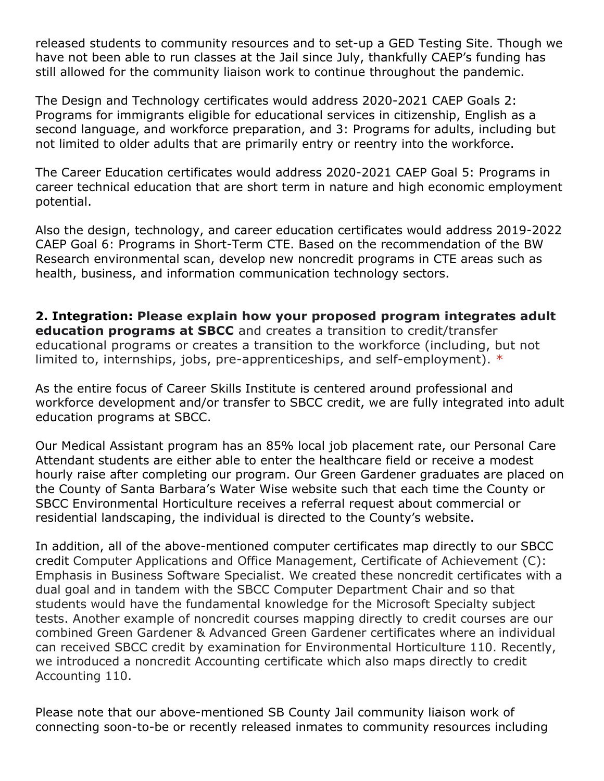released students to community resources and to set-up a GED Testing Site. Though we have not been able to run classes at the Jail since July, thankfully CAEP's funding has still allowed for the community liaison work to continue throughout the pandemic.

The Design and Technology certificates would address 2020-2021 CAEP Goals 2: Programs for immigrants eligible for educational services in citizenship, English as a second language, and workforce preparation, and 3: Programs for adults, including but not limited to older adults that are primarily entry or reentry into the workforce.

The Career Education certificates would address 2020-2021 CAEP Goal 5: Programs in career technical education that are short term in nature and high economic employment potential.

Also the design, technology, and career education certificates would address 2019-2022 CAEP Goal 6: Programs in Short-Term CTE. Based on the recommendation of the BW Research environmental scan, develop new noncredit programs in CTE areas such as health, business, and information communication technology sectors.

**2. Integration: Please explain how your proposed program integrates adult education programs at SBCC** and creates a transition to credit/transfer educational programs or creates a transition to the workforce (including, but not limited to, internships, jobs, pre-apprenticeships, and self-employment). \*

As the entire focus of Career Skills Institute is centered around professional and workforce development and/or transfer to SBCC credit, we are fully integrated into adult education programs at SBCC.

Our Medical Assistant program has an 85% local job placement rate, our Personal Care Attendant students are either able to enter the healthcare field or receive a modest hourly raise after completing our program. Our Green Gardener graduates are placed on the County of Santa Barbara's Water Wise website such that each time the County or SBCC Environmental Horticulture receives a referral request about commercial or residential landscaping, the individual is directed to the County's website.

In addition, all of the above-mentioned computer certificates map directly to our SBCC credit Computer Applications and Office Management, Certificate of Achievement (C): Emphasis in Business Software Specialist. We created these noncredit certificates with a dual goal and in tandem with the SBCC Computer Department Chair and so that students would have the fundamental knowledge for the Microsoft Specialty subject tests. Another example of noncredit courses mapping directly to credit courses are our combined Green Gardener & Advanced Green Gardener certificates where an individual can received SBCC credit by examination for Environmental Horticulture 110. Recently, we introduced a noncredit Accounting certificate which also maps directly to credit Accounting 110.

Please note that our above-mentioned SB County Jail community liaison work of connecting soon-to-be or recently released inmates to community resources including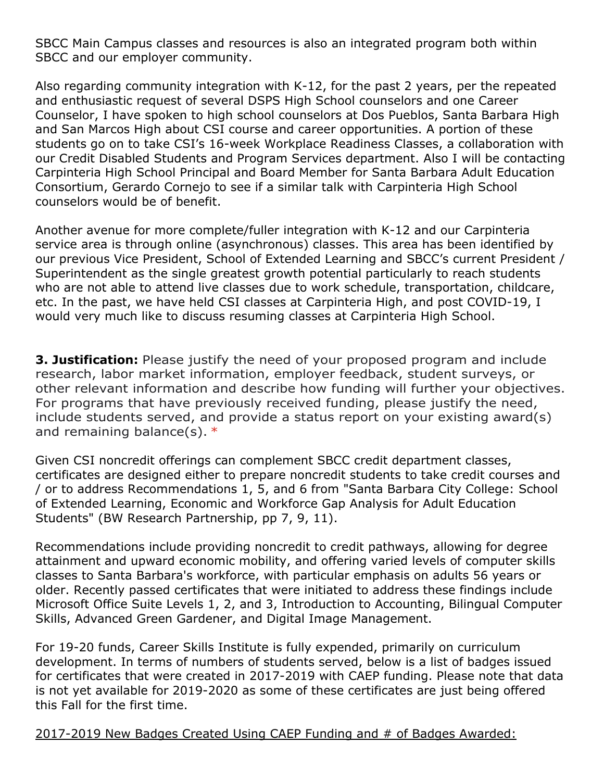SBCC Main Campus classes and resources is also an integrated program both within SBCC and our employer community.

Also regarding community integration with K-12, for the past 2 years, per the repeated and enthusiastic request of several DSPS High School counselors and one Career Counselor, I have spoken to high school counselors at Dos Pueblos, Santa Barbara High and San Marcos High about CSI course and career opportunities. A portion of these students go on to take CSI's 16-week Workplace Readiness Classes, a collaboration with our Credit Disabled Students and Program Services department. Also I will be contacting Carpinteria High School Principal and Board Member for Santa Barbara Adult Education Consortium, Gerardo Cornejo to see if a similar talk with Carpinteria High School counselors would be of benefit.

Another avenue for more complete/fuller integration with K-12 and our Carpinteria service area is through online (asynchronous) classes. This area has been identified by our previous Vice President, School of Extended Learning and SBCC's current President / Superintendent as the single greatest growth potential particularly to reach students who are not able to attend live classes due to work schedule, transportation, childcare, etc. In the past, we have held CSI classes at Carpinteria High, and post COVID-19, I would very much like to discuss resuming classes at Carpinteria High School.

**3. Justification:** Please justify the need of your proposed program and include research, labor market information, employer feedback, student surveys, or other relevant information and describe how funding will further your objectives. For programs that have previously received funding, please justify the need, include students served, and provide a status report on your existing award(s) and remaining balance(s).  $*$ 

Given CSI noncredit offerings can complement SBCC credit department classes, certificates are designed either to prepare noncredit students to take credit courses and / or to address Recommendations 1, 5, and 6 from "Santa Barbara City College: School of Extended Learning, Economic and Workforce Gap Analysis for Adult Education Students" (BW Research Partnership, pp 7, 9, 11).

Recommendations include providing noncredit to credit pathways, allowing for degree attainment and upward economic mobility, and offering varied levels of computer skills classes to Santa Barbara's workforce, with particular emphasis on adults 56 years or older. Recently passed certificates that were initiated to address these findings include Microsoft Office Suite Levels 1, 2, and 3, Introduction to Accounting, Bilingual Computer Skills, Advanced Green Gardener, and Digital Image Management.

For 19-20 funds, Career Skills Institute is fully expended, primarily on curriculum development. In terms of numbers of students served, below is a list of badges issued for certificates that were created in 2017-2019 with CAEP funding. Please note that data is not yet available for 2019-2020 as some of these certificates are just being offered this Fall for the first time.

2017-2019 New Badges Created Using CAEP Funding and # of Badges Awarded: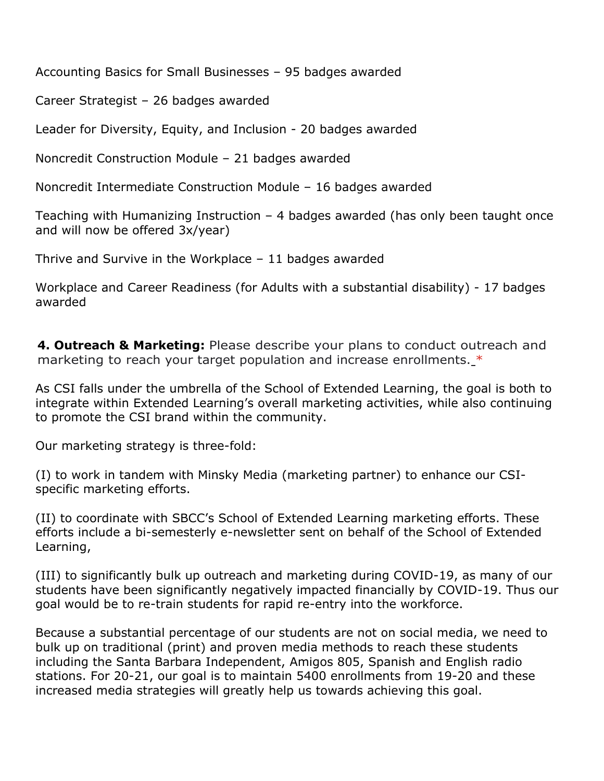Accounting Basics for Small Businesses – 95 badges awarded

Career Strategist – 26 badges awarded

Leader for Diversity, Equity, and Inclusion - 20 badges awarded

Noncredit Construction Module – 21 badges awarded

Noncredit Intermediate Construction Module – 16 badges awarded

Teaching with Humanizing Instruction – 4 badges awarded (has only been taught once and will now be offered 3x/year)

Thrive and Survive in the Workplace – 11 badges awarded

Workplace and Career Readiness (for Adults with a substantial disability) - 17 badges awarded

**4. Outreach & Marketing:** Please describe your plans to conduct outreach and marketing to reach your target population and increase enrollments. $*$ 

As CSI falls under the umbrella of the School of Extended Learning, the goal is both to integrate within Extended Learning's overall marketing activities, while also continuing to promote the CSI brand within the community.

Our marketing strategy is three-fold:

(I) to work in tandem with Minsky Media (marketing partner) to enhance our CSIspecific marketing efforts.

(II) to coordinate with SBCC's School of Extended Learning marketing efforts. These efforts include a bi-semesterly e-newsletter sent on behalf of the School of Extended Learning,

(III) to significantly bulk up outreach and marketing during COVID-19, as many of our students have been significantly negatively impacted financially by COVID-19. Thus our goal would be to re-train students for rapid re-entry into the workforce.

Because a substantial percentage of our students are not on social media, we need to bulk up on traditional (print) and proven media methods to reach these students including the Santa Barbara Independent, Amigos 805, Spanish and English radio stations. For 20-21, our goal is to maintain 5400 enrollments from 19-20 and these increased media strategies will greatly help us towards achieving this goal.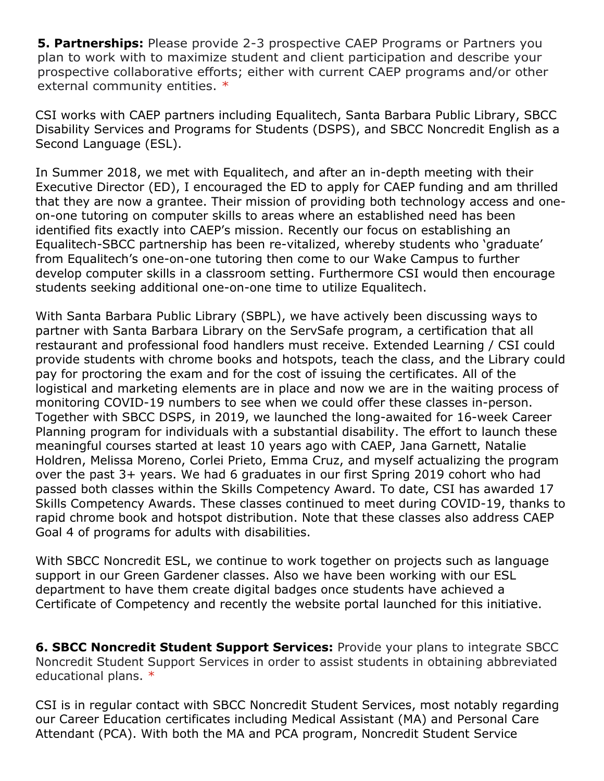**5. Partnerships:** Please provide 2-3 prospective CAEP Programs or Partners you plan to work with to maximize student and client participation and describe your prospective collaborative efforts; either with current CAEP programs and/or other external community entities. \*

CSI works with CAEP partners including Equalitech, Santa Barbara Public Library, SBCC Disability Services and Programs for Students (DSPS), and SBCC Noncredit English as a Second Language (ESL).

In Summer 2018, we met with Equalitech, and after an in-depth meeting with their Executive Director (ED), I encouraged the ED to apply for CAEP funding and am thrilled that they are now a grantee. Their mission of providing both technology access and oneon-one tutoring on computer skills to areas where an established need has been identified fits exactly into CAEP's mission. Recently our focus on establishing an Equalitech-SBCC partnership has been re-vitalized, whereby students who 'graduate' from Equalitech's one-on-one tutoring then come to our Wake Campus to further develop computer skills in a classroom setting. Furthermore CSI would then encourage students seeking additional one-on-one time to utilize Equalitech.

With Santa Barbara Public Library (SBPL), we have actively been discussing ways to partner with Santa Barbara Library on the ServSafe program, a certification that all restaurant and professional food handlers must receive. Extended Learning / CSI could provide students with chrome books and hotspots, teach the class, and the Library could pay for proctoring the exam and for the cost of issuing the certificates. All of the logistical and marketing elements are in place and now we are in the waiting process of monitoring COVID-19 numbers to see when we could offer these classes in-person. Together with SBCC DSPS, in 2019, we launched the long-awaited for 16-week Career Planning program for individuals with a substantial disability. The effort to launch these meaningful courses started at least 10 years ago with CAEP, Jana Garnett, Natalie Holdren, Melissa Moreno, Corlei Prieto, Emma Cruz, and myself actualizing the program over the past 3+ years. We had 6 graduates in our first Spring 2019 cohort who had passed both classes within the Skills Competency Award. To date, CSI has awarded 17 Skills Competency Awards. These classes continued to meet during COVID-19, thanks to rapid chrome book and hotspot distribution. Note that these classes also address CAEP Goal 4 of programs for adults with disabilities.

With SBCC Noncredit ESL, we continue to work together on projects such as language support in our Green Gardener classes. Also we have been working with our ESL department to have them create digital badges once students have achieved a Certificate of Competency and recently the website portal launched for this initiative.

**6. SBCC Noncredit Student Support Services:** Provide your plans to integrate SBCC Noncredit Student Support Services in order to assist students in obtaining abbreviated educational plans. \*

CSI is in regular contact with SBCC Noncredit Student Services, most notably regarding our Career Education certificates including Medical Assistant (MA) and Personal Care Attendant (PCA). With both the MA and PCA program, Noncredit Student Service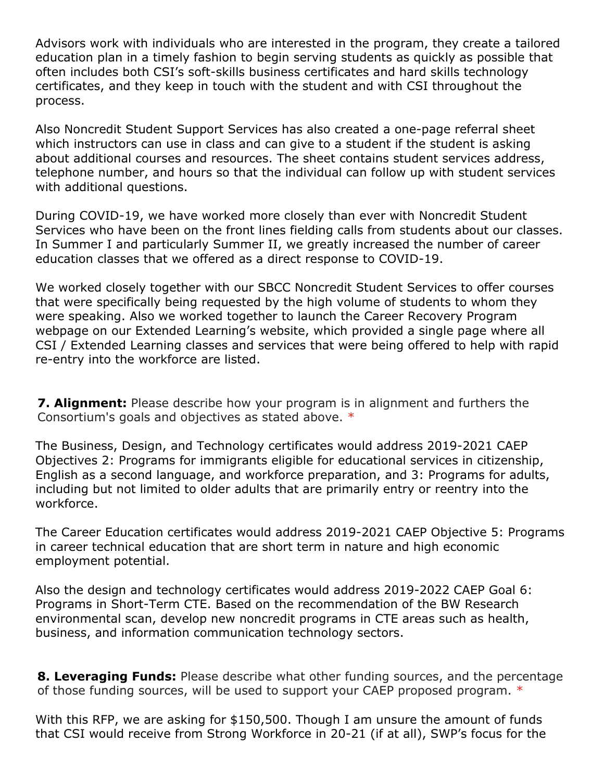Advisors work with individuals who are interested in the program, they create a tailored education plan in a timely fashion to begin serving students as quickly as possible that often includes both CSI's soft-skills business certificates and hard skills technology certificates, and they keep in touch with the student and with CSI throughout the process.

Also Noncredit Student Support Services has also created a one-page referral sheet which instructors can use in class and can give to a student if the student is asking about additional courses and resources. The sheet contains student services address, telephone number, and hours so that the individual can follow up with student services with additional questions.

During COVID-19, we have worked more closely than ever with Noncredit Student Services who have been on the front lines fielding calls from students about our classes. In Summer I and particularly Summer II, we greatly increased the number of career education classes that we offered as a direct response to COVID-19.

We worked closely together with our SBCC Noncredit Student Services to offer courses that were specifically being requested by the high volume of students to whom they were speaking. Also we worked together to launch the Career Recovery Program webpage on our Extended Learning's website, which provided a single page where all CSI / Extended Learning classes and services that were being offered to help with rapid re-entry into the workforce are listed.

**7. Alignment:** Please describe how your program is in alignment and furthers the Consortium's goals and objectives as stated above. \*

The Business, Design, and Technology certificates would address 2019-2021 CAEP Objectives 2: Programs for immigrants eligible for educational services in citizenship, English as a second language, and workforce preparation, and 3: Programs for adults, including but not limited to older adults that are primarily entry or reentry into the workforce.

The Career Education certificates would address 2019-2021 CAEP Objective 5: Programs in career technical education that are short term in nature and high economic employment potential.

Also the design and technology certificates would address 2019-2022 CAEP Goal 6: Programs in Short-Term CTE. Based on the recommendation of the BW Research environmental scan, develop new noncredit programs in CTE areas such as health, business, and information communication technology sectors.

**8. Leveraging Funds:** Please describe what other funding sources, and the percentage of those funding sources, will be used to support your CAEP proposed program. \*

With this RFP, we are asking for \$150,500. Though I am unsure the amount of funds that CSI would receive from Strong Workforce in 20-21 (if at all), SWP's focus for the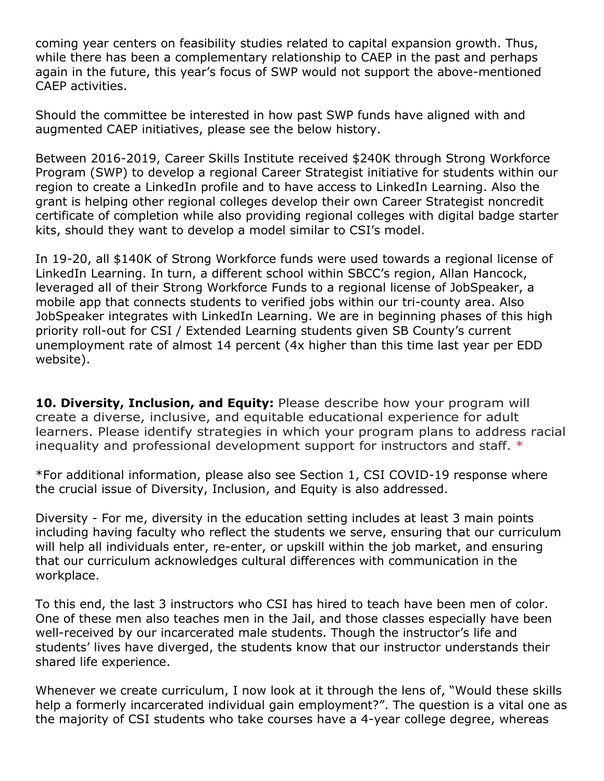coming year centers on feasibility studies related to capital expansion growth. Thus, while there has been a complementary relationship to CAEP in the past and perhaps again in the future, this year's focus of SWP would not support the above-mentioned CAEP activities.

Should the committee be interested in how past SWP funds have aligned with and augmented CAEP initiatives, please see the below history.

Between 2016-2019, Career Skills Institute received \$240K through Strong Workforce Program (SWP) to develop a regional Career Strategist initiative for students within our region to create a LinkedIn profile and to have access to LinkedIn Learning. Also the grant is helping other regional colleges develop their own Career Strategist noncredit certificate of completion while also providing regional colleges with digital badge starter kits, should they want to develop a model similar to CSI's model.

In 19-20, all \$140K of Strong Workforce funds were used towards a regional license of LinkedIn Learning. In turn, a different school within SBCC's region, Allan Hancock, leveraged all of their Strong Workforce Funds to a regional license of JobSpeaker, a mobile app that connects students to verified jobs within our tri-county area. Also JobSpeaker integrates with LinkedIn Learning. We are in beginning phases of this high priority roll-out for CSI / Extended Learning students given SB County's current unemployment rate of almost 14 percent (4x higher than this time last year per EDD website).

**10. Diversity, Inclusion, and Equity:** Please describe how your program will create a diverse, inclusive, and equitable educational experience for adult learners. Please identify strategies in which your program plans to address racial inequality and professional development support for instructors and staff.  $*$ 

\*For additional information, please also see Section 1, CSI COVID-19 response where the crucial issue of Diversity, Inclusion, and Equity is also addressed.

Diversity - For me, diversity in the education setting includes at least 3 main points including having faculty who reflect the students we serve, ensuring that our curriculum will help all individuals enter, re-enter, or upskill within the job market, and ensuring that our curriculum acknowledges cultural differences with communication in the workplace.

To this end, the last 3 instructors who CSI has hired to teach have been men of color. One of these men also teaches men in the Jail, and those classes especially have been well-received by our incarcerated male students. Though the instructor's life and students' lives have diverged, the students know that our instructor understands their shared life experience.

Whenever we create curriculum, I now look at it through the lens of, "Would these skills help a formerly incarcerated individual gain employment?". The question is a vital one as the majority of CSI students who take courses have a 4-year college degree, whereas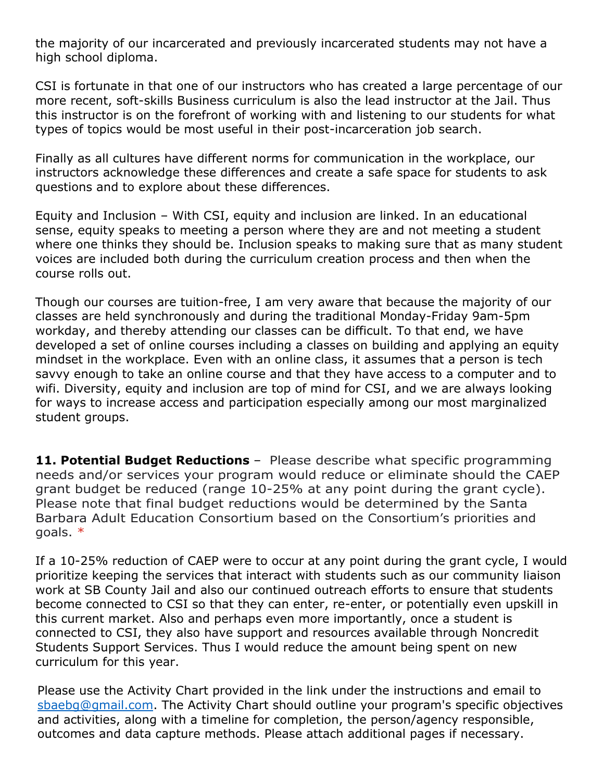the majority of our incarcerated and previously incarcerated students may not have a high school diploma.

CSI is fortunate in that one of our instructors who has created a large percentage of our more recent, soft-skills Business curriculum is also the lead instructor at the Jail. Thus this instructor is on the forefront of working with and listening to our students for what types of topics would be most useful in their post-incarceration job search.

Finally as all cultures have different norms for communication in the workplace, our instructors acknowledge these differences and create a safe space for students to ask questions and to explore about these differences.

Equity and Inclusion – With CSI, equity and inclusion are linked. In an educational sense, equity speaks to meeting a person where they are and not meeting a student where one thinks they should be. Inclusion speaks to making sure that as many student voices are included both during the curriculum creation process and then when the course rolls out.

Though our courses are tuition-free, I am very aware that because the majority of our classes are held synchronously and during the traditional Monday-Friday 9am-5pm workday, and thereby attending our classes can be difficult. To that end, we have developed a set of online courses including a classes on building and applying an equity mindset in the workplace. Even with an online class, it assumes that a person is tech savvy enough to take an online course and that they have access to a computer and to wifi. Diversity, equity and inclusion are top of mind for CSI, and we are always looking for ways to increase access and participation especially among our most marginalized student groups.

**11. Potential Budget Reductions** – Please describe what specific programming needs and/or services your program would reduce or eliminate should the CAEP grant budget be reduced (range 10-25% at any point during the grant cycle). Please note that final budget reductions would be determined by the Santa Barbara Adult Education Consortium based on the Consortium's priorities and goals. \*

If a 10-25% reduction of CAEP were to occur at any point during the grant cycle, I would prioritize keeping the services that interact with students such as our community liaison work at SB County Jail and also our continued outreach efforts to ensure that students become connected to CSI so that they can enter, re-enter, or potentially even upskill in this current market. Also and perhaps even more importantly, once a student is connected to CSI, they also have support and resources available through Noncredit Students Support Services. Thus I would reduce the amount being spent on new curriculum for this year.

Please use the Activity Chart provided in the link under the instructions and email to [sbaebg@gmail.com.](mailto:sbaebg@gmail.com) The Activity Chart should outline your program's specific objectives and activities, along with a timeline for completion, the person/agency responsible, outcomes and data capture methods. Please attach additional pages if necessary.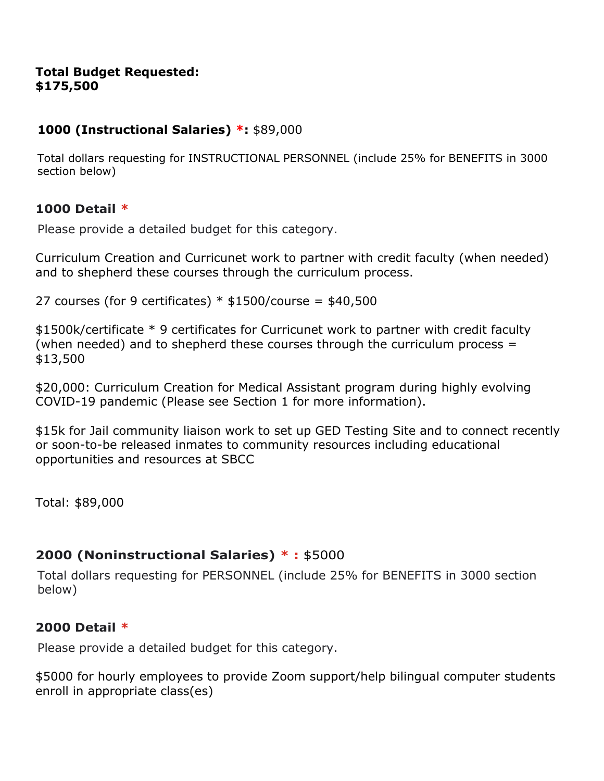#### **Total Budget Requested: \$175,500**

# **1000 (Instructional Salaries) \*:** \$89,000

Total dollars requesting for INSTRUCTIONAL PERSONNEL (include 25% for BENEFITS in 3000 section below)

# **1000 Detail \***

Please provide a detailed budget for this category.

Curriculum Creation and Curricunet work to partner with credit faculty (when needed) and to shepherd these courses through the curriculum process.

27 courses (for 9 certificates)  $*$  \$1500/course = \$40,500

\$1500k/certificate \* 9 certificates for Curricunet work to partner with credit faculty (when needed) and to shepherd these courses through the curriculum process  $=$ \$13,500

\$20,000: Curriculum Creation for Medical Assistant program during highly evolving COVID-19 pandemic (Please see Section 1 for more information).

\$15k for Jail community liaison work to set up GED Testing Site and to connect recently or soon-to-be released inmates to community resources including educational opportunities and resources at SBCC

Total: \$89,000

# **2000 (Noninstructional Salaries) \* :** \$5000

Total dollars requesting for PERSONNEL (include 25% for BENEFITS in 3000 section below)

# **2000 Detail \***

Please provide a detailed budget for this category.

\$5000 for hourly employees to provide Zoom support/help bilingual computer students enroll in appropriate class(es)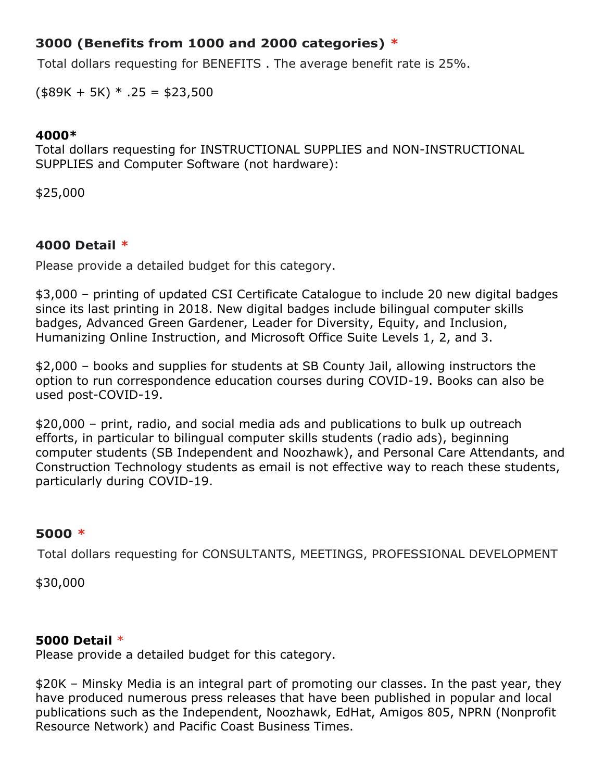# **3000 (Benefits from 1000 and 2000 categories) \***

Total dollars requesting for BENEFITS . The average benefit rate is 25%.

 $($89K + 5K) * .25 = $23,500$ 

#### **4000\***

Total dollars requesting for INSTRUCTIONAL SUPPLIES and NON-INSTRUCTIONAL SUPPLIES and Computer Software (not hardware):

\$25,000

## **4000 Detail \***

Please provide a detailed budget for this category.

\$3,000 – printing of updated CSI Certificate Catalogue to include 20 new digital badges since its last printing in 2018. New digital badges include bilingual computer skills badges, Advanced Green Gardener, Leader for Diversity, Equity, and Inclusion, Humanizing Online Instruction, and Microsoft Office Suite Levels 1, 2, and 3.

\$2,000 – books and supplies for students at SB County Jail, allowing instructors the option to run correspondence education courses during COVID-19. Books can also be used post-COVID-19.

\$20,000 – print, radio, and social media ads and publications to bulk up outreach efforts, in particular to bilingual computer skills students (radio ads), beginning computer students (SB Independent and Noozhawk), and Personal Care Attendants, and Construction Technology students as email is not effective way to reach these students, particularly during COVID-19.

# **5000 \***

Total dollars requesting for CONSULTANTS, MEETINGS, PROFESSIONAL DEVELOPMENT

\$30,000

#### **5000 Detail** \*

Please provide a detailed budget for this category.

\$20K – Minsky Media is an integral part of promoting our classes. In the past year, they have produced numerous press releases that have been published in popular and local publications such as the Independent, Noozhawk, EdHat, Amigos 805, NPRN (Nonprofit Resource Network) and Pacific Coast Business Times.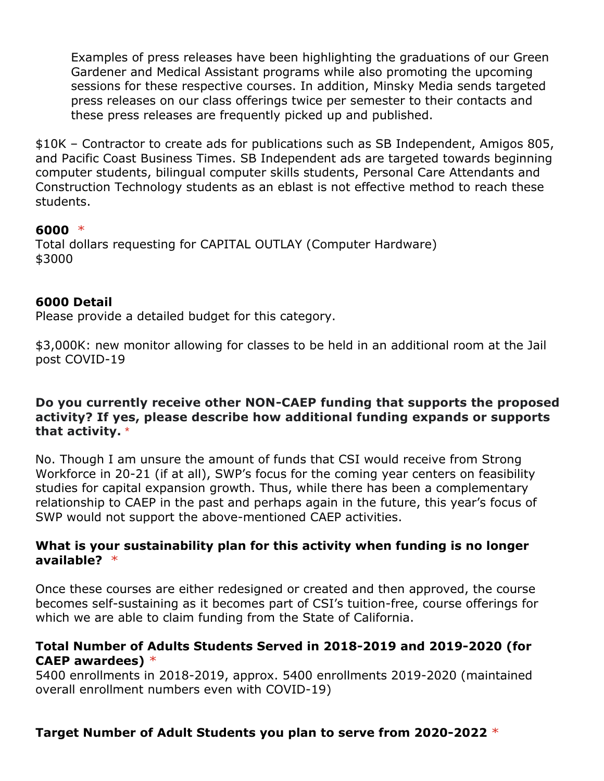Examples of press releases have been highlighting the graduations of our Green Gardener and Medical Assistant programs while also promoting the upcoming sessions for these respective courses. In addition, Minsky Media sends targeted press releases on our class offerings twice per semester to their contacts and these press releases are frequently picked up and published.

\$10K – Contractor to create ads for publications such as SB Independent, Amigos 805, and Pacific Coast Business Times. SB Independent ads are targeted towards beginning computer students, bilingual computer skills students, Personal Care Attendants and Construction Technology students as an eblast is not effective method to reach these students.

## **6000** \*

Total dollars requesting for CAPITAL OUTLAY (Computer Hardware) \$3000

## **6000 Detail**

Please provide a detailed budget for this category.

\$3,000K: new monitor allowing for classes to be held in an additional room at the Jail post COVID-19

## **Do you currently receive other NON-CAEP funding that supports the proposed activity? If yes, please describe how additional funding expands or supports that activity.** \*

No. Though I am unsure the amount of funds that CSI would receive from Strong Workforce in 20-21 (if at all), SWP's focus for the coming year centers on feasibility studies for capital expansion growth. Thus, while there has been a complementary relationship to CAEP in the past and perhaps again in the future, this year's focus of SWP would not support the above-mentioned CAEP activities.

#### **What is your sustainability plan for this activity when funding is no longer available?** \*

Once these courses are either redesigned or created and then approved, the course becomes self-sustaining as it becomes part of CSI's tuition-free, course offerings for which we are able to claim funding from the State of California.

## **Total Number of Adults Students Served in 2018-2019 and 2019-2020 (for CAEP awardees)** \*

5400 enrollments in 2018-2019, approx. 5400 enrollments 2019-2020 (maintained overall enrollment numbers even with COVID-19)

# **Target Number of Adult Students you plan to serve from 2020-2022** \*